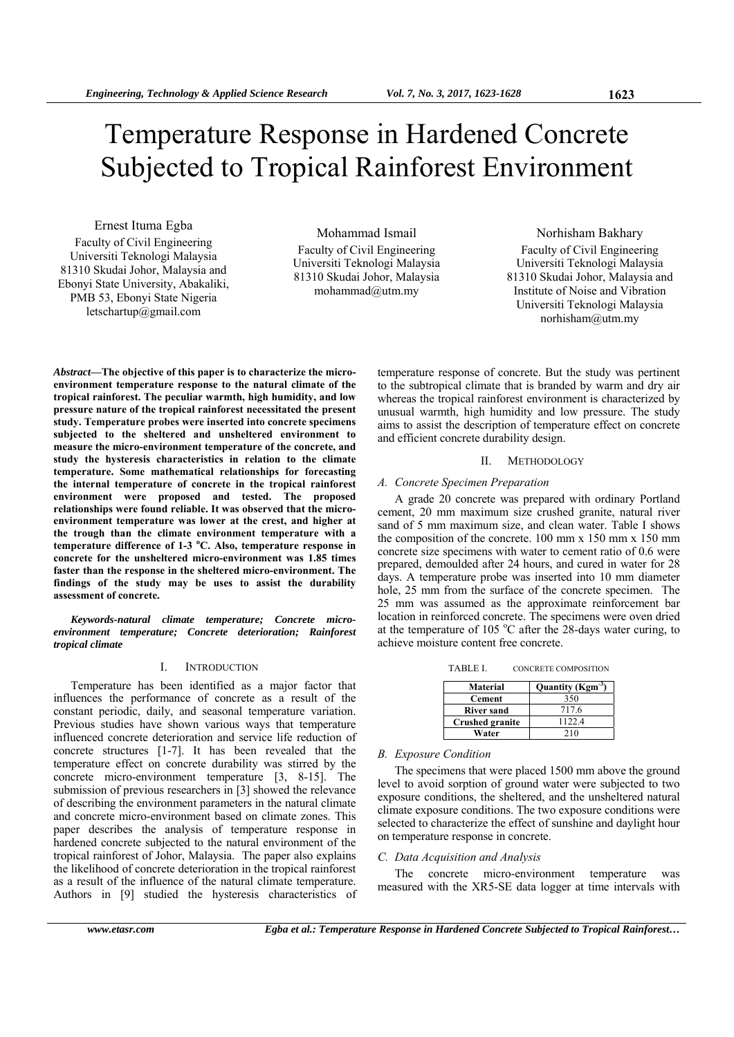# Temperature Response in Hardened Concrete Subjected to Tropical Rainforest Environment

Ernest Ituma Egba Faculty of Civil Engineering Universiti Teknologi Malaysia 81310 Skudai Johor, Malaysia and Ebonyi State University, Abakaliki, PMB 53, Ebonyi State Nigeria letschartup@gmail.com

Mohammad Ismail Faculty of Civil Engineering Universiti Teknologi Malaysia 81310 Skudai Johor, Malaysia mohammad@utm.my

Norhisham Bakhary Faculty of Civil Engineering Universiti Teknologi Malaysia 81310 Skudai Johor, Malaysia and Institute of Noise and Vibration Universiti Teknologi Malaysia norhisham@utm.my

*Abstract***—The objective of this paper is to characterize the microenvironment temperature response to the natural climate of the tropical rainforest. The peculiar warmth, high humidity, and low pressure nature of the tropical rainforest necessitated the present study. Temperature probes were inserted into concrete specimens subjected to the sheltered and unsheltered environment to measure the micro-environment temperature of the concrete, and study the hysteresis characteristics in relation to the climate temperature. Some mathematical relationships for forecasting the internal temperature of concrete in the tropical rainforest environment were proposed and tested. The proposed relationships were found reliable. It was observed that the microenvironment temperature was lower at the crest, and higher at the trough than the climate environment temperature with a temperature difference of 1-3 <sup>o</sup> C. Also, temperature response in concrete for the unsheltered micro-environment was 1.85 times faster than the response in the sheltered micro-environment. The findings of the study may be uses to assist the durability assessment of concrete.** 

*Keywords-natural climate temperature; Concrete microenvironment temperature; Concrete deterioration; Rainforest tropical climate* 

# I. INTRODUCTION

Temperature has been identified as a major factor that influences the performance of concrete as a result of the constant periodic, daily, and seasonal temperature variation. Previous studies have shown various ways that temperature influenced concrete deterioration and service life reduction of concrete structures [1-7]. It has been revealed that the temperature effect on concrete durability was stirred by the concrete micro-environment temperature [3, 8-15]. The submission of previous researchers in [3] showed the relevance of describing the environment parameters in the natural climate and concrete micro-environment based on climate zones. This paper describes the analysis of temperature response in hardened concrete subjected to the natural environment of the tropical rainforest of Johor, Malaysia. The paper also explains the likelihood of concrete deterioration in the tropical rainforest as a result of the influence of the natural climate temperature. Authors in [9] studied the hysteresis characteristics of

temperature response of concrete. But the study was pertinent to the subtropical climate that is branded by warm and dry air whereas the tropical rainforest environment is characterized by unusual warmth, high humidity and low pressure. The study aims to assist the description of temperature effect on concrete and efficient concrete durability design.

#### II. METHODOLOGY

## *A. Concrete Specimen Preparation*

A grade 20 concrete was prepared with ordinary Portland cement, 20 mm maximum size crushed granite, natural river sand of 5 mm maximum size, and clean water. Table I shows the composition of the concrete. 100 mm x 150 mm x 150 mm concrete size specimens with water to cement ratio of 0.6 were prepared, demoulded after 24 hours, and cured in water for 28 days. A temperature probe was inserted into 10 mm diameter hole, 25 mm from the surface of the concrete specimen. The 25 mm was assumed as the approximate reinforcement bar location in reinforced concrete. The specimens were oven dried at the temperature of 105  $^{\circ}$ C after the 28-days water curing, to achieve moisture content free concrete.

| TABLE I. | <b>CONCRETE COMPOSITION</b> |
|----------|-----------------------------|
|----------|-----------------------------|

| Material               | Quantity ( $Kgm-3$ ) |
|------------------------|----------------------|
| <b>Cement</b>          | 350                  |
| <b>River sand</b>      | 717.6                |
| <b>Crushed granite</b> | 1122.4               |
| Water                  | 210                  |

## *B. Exposure Condition*

The specimens that were placed 1500 mm above the ground level to avoid sorption of ground water were subjected to two exposure conditions, the sheltered, and the unsheltered natural climate exposure conditions. The two exposure conditions were selected to characterize the effect of sunshine and daylight hour on temperature response in concrete.

# *C. Data Acquisition and Analysis*

The concrete micro-environment temperature was measured with the XR5-SE data logger at time intervals with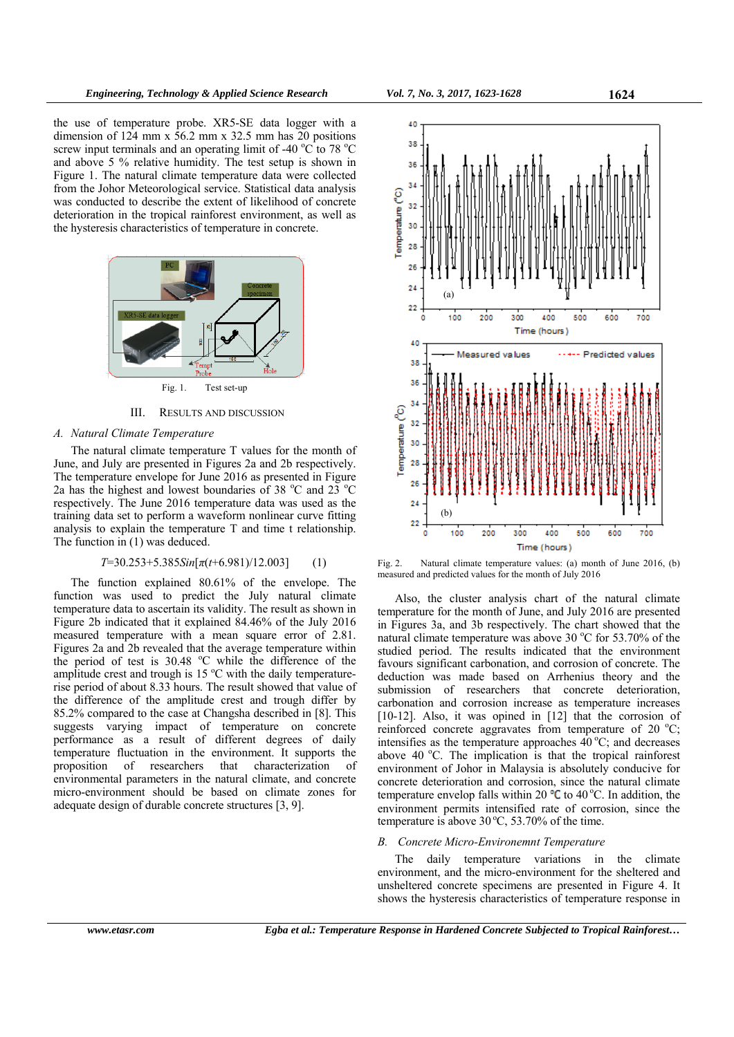the use of temperature probe. XR5-SE data logger with a dimension of 124 mm x 56.2 mm x 32.5 mm has 20 positions screw input terminals and an operating limit of -40  $\rm{°C}$  to 78  $\rm{°C}$ and above 5 % relative humidity. The test setup is shown in Figure 1. The natural climate temperature data were collected from the Johor Meteorological service. Statistical data analysis was conducted to describe the extent of likelihood of concrete deterioration in the tropical rainforest environment, as well as the hysteresis characteristics of temperature in concrete.



III. RESULTS AND DISCUSSION

## *A. Natural Climate Temperature*

The natural climate temperature T values for the month of June, and July are presented in Figures 2a and 2b respectively. The temperature envelope for June 2016 as presented in Figure 2a has the highest and lowest boundaries of 38 °C and 23 °C respectively. The June 2016 temperature data was used as the training data set to perform a waveform nonlinear curve fitting analysis to explain the temperature T and time t relationship. The function in (1) was deduced.

$$
T=30.253+5.385\sin[\pi(t+6.981)/12.003]
$$
 (1)

The function explained 80.61% of the envelope. The function was used to predict the July natural climate temperature data to ascertain its validity. The result as shown in Figure 2b indicated that it explained 84.46% of the July 2016 measured temperature with a mean square error of 2.81. Figures 2a and 2b revealed that the average temperature within the period of test is  $30.48$  °C while the difference of the amplitude crest and trough is  $15^{\circ}$ C with the daily temperaturerise period of about 8.33 hours. The result showed that value of the difference of the amplitude crest and trough differ by 85.2% compared to the case at Changsha described in [8]. This suggests varying impact of temperature on concrete performance as a result of different degrees of daily temperature fluctuation in the environment. It supports the proposition of researchers that characterization of environmental parameters in the natural climate, and concrete micro-environment should be based on climate zones for adequate design of durable concrete structures [3, 9].



Fig. 2. Natural climate temperature values: (a) month of June 2016, (b) measured and predicted values for the month of July 2016

Also, the cluster analysis chart of the natural climate temperature for the month of June, and July 2016 are presented in Figures 3a, and 3b respectively. The chart showed that the natural climate temperature was above 30 °C for 53.70% of the studied period. The results indicated that the environment favours significant carbonation, and corrosion of concrete. The deduction was made based on Arrhenius theory and the submission of researchers that concrete deterioration, carbonation and corrosion increase as temperature increases [10-12]. Also, it was opined in [12] that the corrosion of reinforced concrete aggravates from temperature of 20  $^{\circ}$ C; intensifies as the temperature approaches  $40^{\circ}$ C; and decreases above 40  $^{\circ}$ C. The implication is that the tropical rainforest environment of Johor in Malaysia is absolutely conducive for concrete deterioration and corrosion, since the natural climate temperature envelop falls within 20  $\textdegree$ C to 40 °C. In addition, the environment permits intensified rate of corrosion, since the temperature is above  $30^{\circ}$ C, 53.70% of the time.

#### *B. Concrete Micro-Environemnt Temperature*

The daily temperature variations in the climate environment, and the micro-environment for the sheltered and unsheltered concrete specimens are presented in Figure 4. It shows the hysteresis characteristics of temperature response in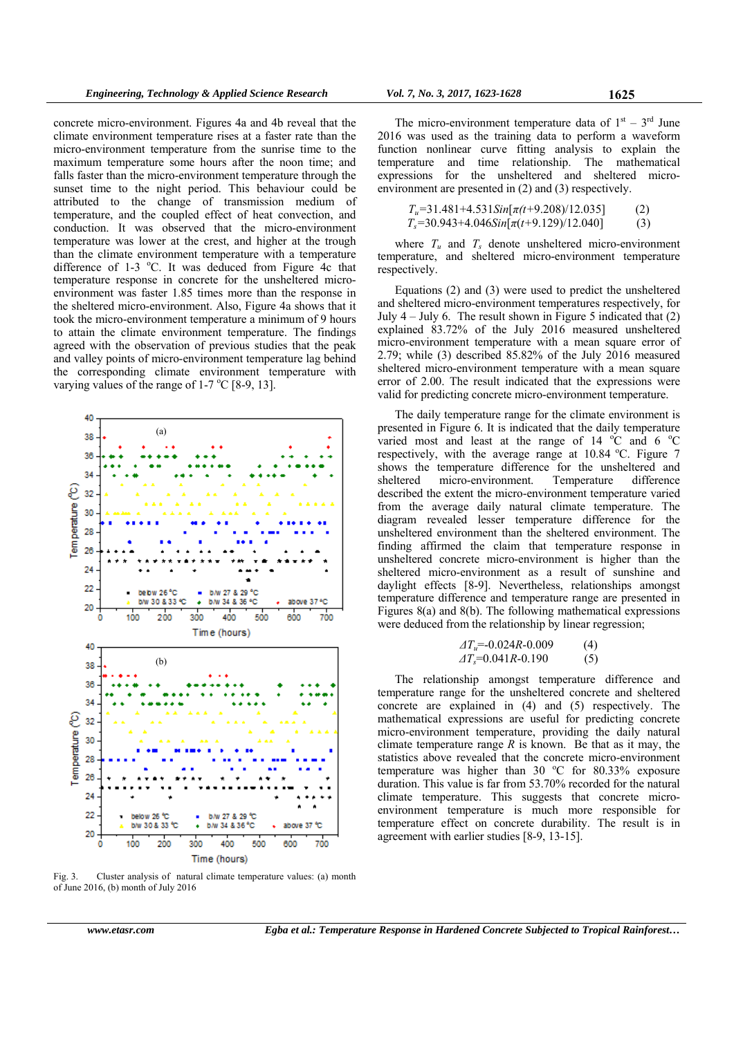concrete micro-environment. Figures 4a and 4b reveal that the climate environment temperature rises at a faster rate than the micro-environment temperature from the sunrise time to the maximum temperature some hours after the noon time; and falls faster than the micro-environment temperature through the sunset time to the night period. This behaviour could be attributed to the change of transmission medium of temperature, and the coupled effect of heat convection, and conduction. It was observed that the micro-environment temperature was lower at the crest, and higher at the trough than the climate environment temperature with a temperature difference of 1-3 °C. It was deduced from Figure 4c that temperature response in concrete for the unsheltered microenvironment was faster 1.85 times more than the response in the sheltered micro-environment. Also, Figure 4a shows that it took the micro-environment temperature a minimum of 9 hours to attain the climate environment temperature. The findings agreed with the observation of previous studies that the peak and valley points of micro-environment temperature lag behind the corresponding climate environment temperature with varying values of the range of  $1-7$  °C [8-9, 13].



The micro-environment temperature data of  $1<sup>st</sup> - 3<sup>rd</sup>$  June 2016 was used as the training data to perform a waveform function nonlinear curve fitting analysis to explain the temperature and time relationship. The mathematical expressions for the unsheltered and sheltered microenvironment are presented in (2) and (3) respectively.

$$
T_u=31.481+4.531\text{Sin}[\pi(t+9.208)/12.035]
$$
\n
$$
T_s=30.943+4.046\text{Sin}[\pi(t+9.129)/12.040]
$$
\n(3)

where  $T_u$  and  $T_s$  denote unsheltered micro-environment temperature, and sheltered micro-environment temperature respectively.

Equations (2) and (3) were used to predict the unsheltered and sheltered micro-environment temperatures respectively, for July  $4 -$  July 6. The result shown in Figure 5 indicated that  $(2)$ explained 83.72% of the July 2016 measured unsheltered micro-environment temperature with a mean square error of 2.79; while (3) described 85.82% of the July 2016 measured sheltered micro-environment temperature with a mean square error of 2.00. The result indicated that the expressions were valid for predicting concrete micro-environment temperature.

The daily temperature range for the climate environment is presented in Figure 6. It is indicated that the daily temperature varied most and least at the range of 14  $\degree$ C and 6  $\degree$ C respectively, with the average range at  $10.84$  °C. Figure 7 shows the temperature difference for the unsheltered and sheltered micro-environment. Temperature difference described the extent the micro-environment temperature varied from the average daily natural climate temperature. The diagram revealed lesser temperature difference for the unsheltered environment than the sheltered environment. The finding affirmed the claim that temperature response in unsheltered concrete micro-environment is higher than the sheltered micro-environment as a result of sunshine and daylight effects [8-9]. Nevertheless, relationships amongst temperature difference and temperature range are presented in Figures 8(a) and 8(b). The following mathematical expressions were deduced from the relationship by linear regression;

$$
\begin{array}{ll}\nAT_u = -0.024R - 0.009 & (4) \\
AT_s = 0.041R - 0.190 & (5)\n\end{array}
$$

The relationship amongst temperature difference and temperature range for the unsheltered concrete and sheltered concrete are explained in (4) and (5) respectively. The mathematical expressions are useful for predicting concrete micro-environment temperature, providing the daily natural climate temperature range  $R$  is known. Be that as it may, the statistics above revealed that the concrete micro-environment temperature was higher than  $30 °C$  for  $80.33%$  exposure duration. This value is far from 53.70% recorded for the natural climate temperature. This suggests that concrete microenvironment temperature is much more responsible for temperature effect on concrete durability. The result is in agreement with earlier studies [8-9, 13-15].

Fig. 3. Cluster analysis of natural climate temperature values: (a) month of June 2016, (b) month of July 2016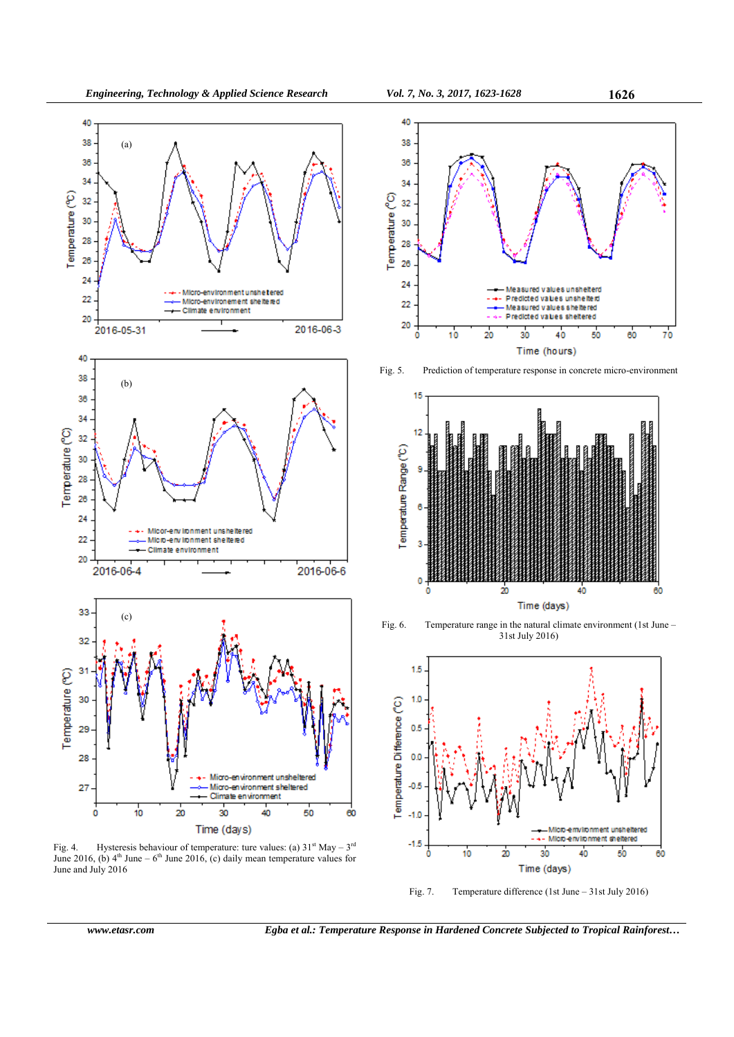

Fig. 4. Hysteresis behaviour of temperature: ture values: (a)  $31<sup>st</sup>$  May –  $3<sup>rd</sup>$ June 2016, (b)  $4<sup>th</sup>$  June – 6<sup>th</sup> June 2016, (c) daily mean temperature values for June and July 2016



Fig. 5. Prediction of temperature response in concrete micro-environment



Fig. 6. Temperature range in the natural climate environment (1st June – 31st July 2016)



Fig. 7. Temperature difference (1st June – 31st July 2016)

*www.etasr.com Egba et al.: Temperature Response in Hardened Concrete Subjected to Tropical Rainforest…*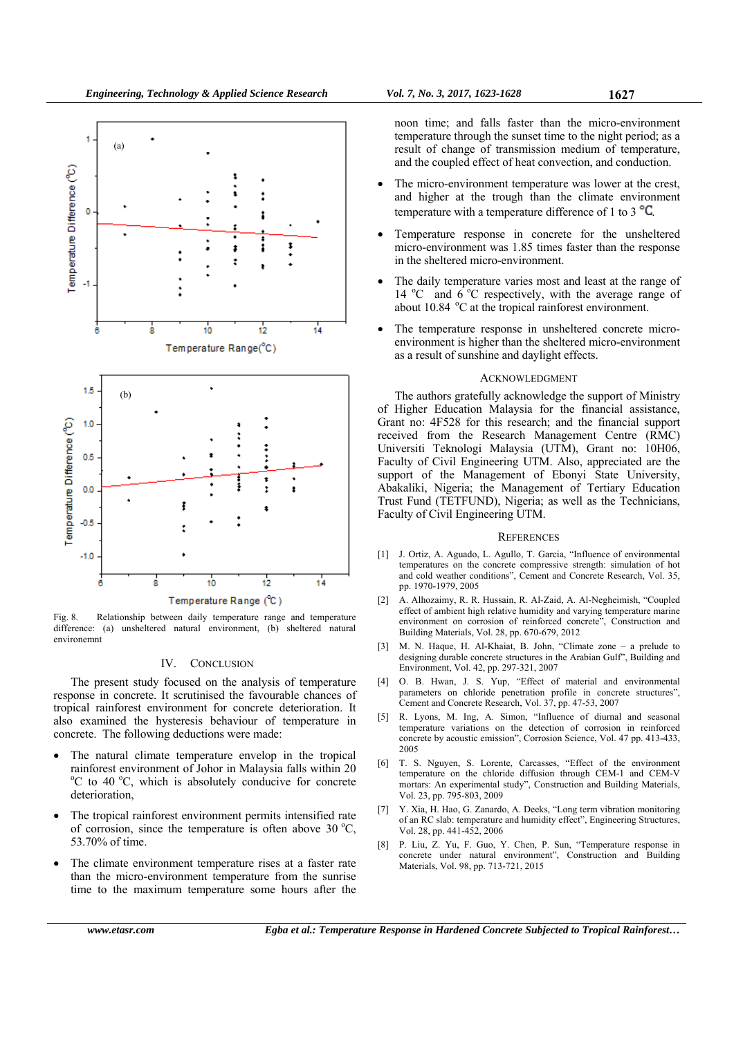

Fig. 8. Relationship between daily temperature range and temperature difference: (a) unsheltered natural environment, (b) sheltered natural environemnt

### IV. CONCLUSION

The present study focused on the analysis of temperature response in concrete. It scrutinised the favourable chances of tropical rainforest environment for concrete deterioration. It also examined the hysteresis behaviour of temperature in concrete. The following deductions were made:

- The natural climate temperature envelop in the tropical rainforest environment of Johor in Malaysia falls within 20 <sup>o</sup>C to 40 <sup>o</sup>C, which is absolutely conducive for concrete deterioration,
- The tropical rainforest environment permits intensified rate of corrosion, since the temperature is often above  $30^{\circ}$ C, 53.70% of time.
- The climate environment temperature rises at a faster rate than the micro-environment temperature from the sunrise time to the maximum temperature some hours after the

noon time; and falls faster than the micro-environment temperature through the sunset time to the night period; as a result of change of transmission medium of temperature, and the coupled effect of heat convection, and conduction.

- The micro-environment temperature was lower at the crest, and higher at the trough than the climate environment temperature with a temperature difference of 1 to 3 $\mathrm{^{\circ}C}$ .
- Temperature response in concrete for the unsheltered micro-environment was 1.85 times faster than the response in the sheltered micro-environment.
- The daily temperature varies most and least at the range of 14 °C and  $6^{\circ}$ C respectively, with the average range of about  $10.84$   $\degree$ C at the tropical rainforest environment.
- The temperature response in unsheltered concrete microenvironment is higher than the sheltered micro-environment as a result of sunshine and daylight effects.

#### ACKNOWLEDGMENT

The authors gratefully acknowledge the support of Ministry of Higher Education Malaysia for the financial assistance, Grant no: 4F528 for this research; and the financial support received from the Research Management Centre (RMC) Universiti Teknologi Malaysia (UTM), Grant no: 10H06, Faculty of Civil Engineering UTM. Also, appreciated are the support of the Management of Ebonyi State University, Abakaliki, Nigeria; the Management of Tertiary Education Trust Fund (TETFUND), Nigeria; as well as the Technicians, Faculty of Civil Engineering UTM.

### **REFERENCES**

- [1] J. Ortiz, A. Aguado, L. Agullo, T. Garcia, "Influence of environmental temperatures on the concrete compressive strength: simulation of hot and cold weather conditions", Cement and Concrete Research, Vol. 35, pp. 1970-1979, 2005
- [2] A. Alhozaimy, R. R. Hussain, R. Al-Zaid, A. Al-Negheimish, "Coupled effect of ambient high relative humidity and varying temperature marine environment on corrosion of reinforced concrete", Construction and Building Materials, Vol. 28, pp. 670-679, 2012
- M. N. Haque, H. Al-Khaiat, B. John, "Climate zone a prelude to designing durable concrete structures in the Arabian Gulf", Building and Environment, Vol. 42, pp. 297-321, 2007
- [4] O. B. Hwan, J. S. Yup, "Effect of material and environmental parameters on chloride penetration profile in concrete structures", Cement and Concrete Research, Vol. 37, pp. 47-53, 2007
- [5] R. Lyons, M. Ing, A. Simon, "Influence of diurnal and seasonal temperature variations on the detection of corrosion in reinforced concrete by acoustic emission", Corrosion Science, Vol. 47 pp. 413-433, 2005
- [6] T. S. Nguyen, S. Lorente, Carcasses, "Effect of the environment temperature on the chloride diffusion through CEM-1 and CEM-V mortars: An experimental study", Construction and Building Materials, Vol. 23, pp. 795-803, 2009
- [7] Y. Xia, H. Hao, G. Zanardo, A. Deeks, "Long term vibration monitoring of an RC slab: temperature and humidity effect", Engineering Structures, Vol. 28, pp. 441-452, 2006
- [8] P. Liu, Z. Yu, F. Guo, Y. Chen, P. Sun, "Temperature response in concrete under natural environment", Construction and Building Materials, Vol. 98, pp. 713-721, 2015